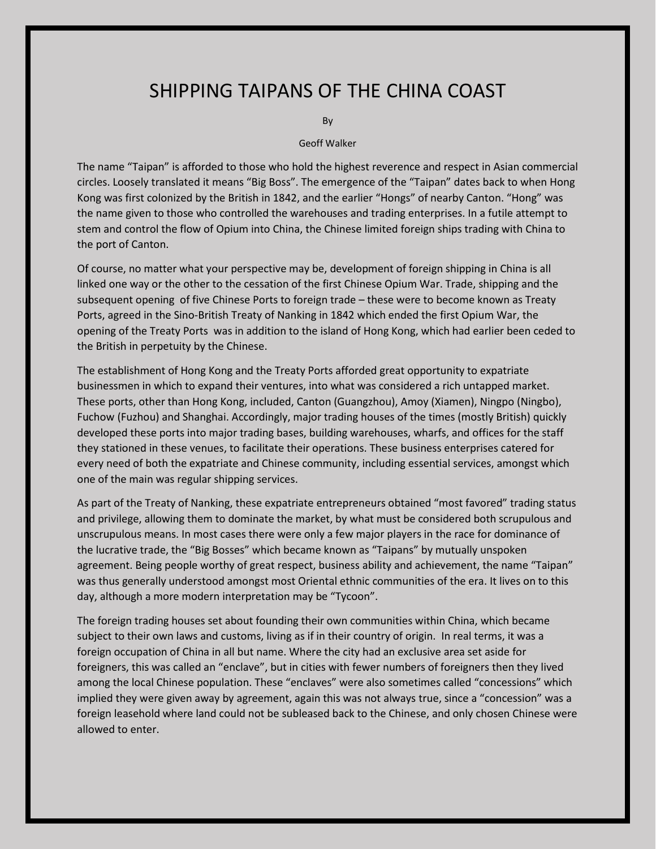## SHIPPING TAIPANS OF THE CHINA COAST

By

## Geoff Walker

The name "Taipan" is afforded to those who hold the highest reverence and respect in Asian commercial circles. Loosely translated it means "Big Boss". The emergence of the "Taipan" dates back to when Hong Kong was first colonized by the British in 1842, and the earlier "Hongs" of nearby Canton. "Hong" was the name given to those who controlled the warehouses and trading enterprises. In a futile attempt to stem and control the flow of Opium into China, the Chinese limited foreign ships trading with China to the port of Canton.

Of course, no matter what your perspective may be, development of foreign shipping in China is all linked one way or the other to the cessation of the first Chinese Opium War. Trade, shipping and the subsequent opening of five Chinese Ports to foreign trade – these were to become known as Treaty Ports, agreed in the Sino-British Treaty of Nanking in 1842 which ended the first Opium War, the opening of the Treaty Ports was in addition to the island of Hong Kong, which had earlier been ceded to the British in perpetuity by the Chinese.

The establishment of Hong Kong and the Treaty Ports afforded great opportunity to expatriate businessmen in which to expand their ventures, into what was considered a rich untapped market. These ports, other than Hong Kong, included, Canton (Guangzhou), Amoy (Xiamen), Ningpo (Ningbo), Fuchow (Fuzhou) and Shanghai. Accordingly, major trading houses of the times (mostly British) quickly developed these ports into major trading bases, building warehouses, wharfs, and offices for the staff they stationed in these venues, to facilitate their operations. These business enterprises catered for every need of both the expatriate and Chinese community, including essential services, amongst which one of the main was regular shipping services.

As part of the Treaty of Nanking, these expatriate entrepreneurs obtained "most favored" trading status and privilege, allowing them to dominate the market, by what must be considered both scrupulous and unscrupulous means. In most cases there were only a few major players in the race for dominance of the lucrative trade, the "Big Bosses" which became known as "Taipans" by mutually unspoken agreement. Being people worthy of great respect, business ability and achievement, the name "Taipan" was thus generally understood amongst most Oriental ethnic communities of the era. It lives on to this day, although a more modern interpretation may be "Tycoon".

The foreign trading houses set about founding their own communities within China, which became subject to their own laws and customs, living as if in their country of origin. In real terms, it was a foreign occupation of China in all but name. Where the city had an exclusive area set aside for foreigners, this was called an "enclave", but in cities with fewer numbers of foreigners then they lived among the local Chinese population. These "enclaves" were also sometimes called "concessions" which implied they were given away by agreement, again this was not always true, since a "concession" was a foreign leasehold where land could not be subleased back to the Chinese, and only chosen Chinese were allowed to enter.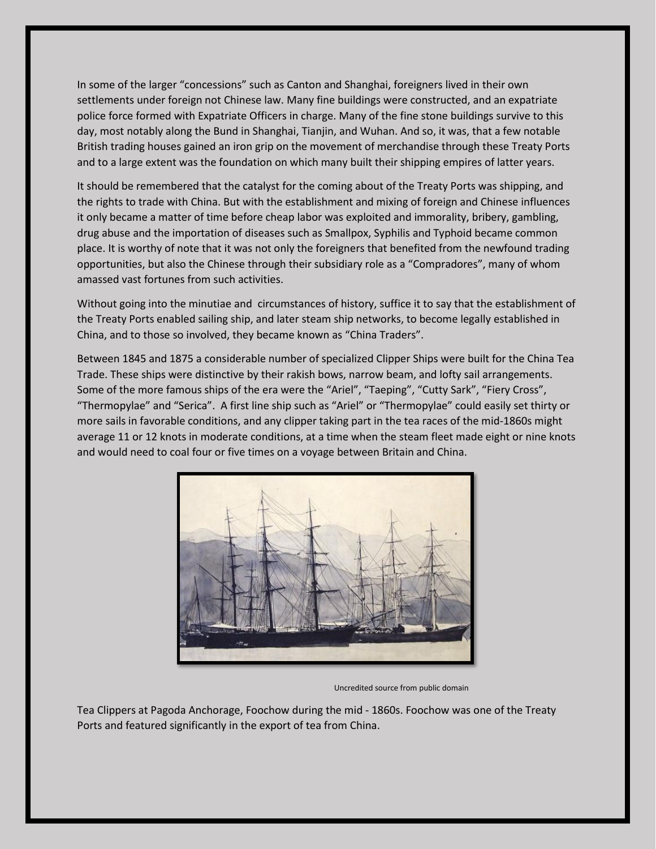In some of the larger "concessions" such as Canton and Shanghai, foreigners lived in their own settlements under foreign not Chinese law. Many fine buildings were constructed, and an expatriate police force formed with Expatriate Officers in charge. Many of the fine stone buildings survive to this day, most notably along the Bund in Shanghai, Tianjin, and Wuhan. And so, it was, that a few notable British trading houses gained an iron grip on the movement of merchandise through these Treaty Ports and to a large extent was the foundation on which many built their shipping empires of latter years.

It should be remembered that the catalyst for the coming about of the Treaty Ports was shipping, and the rights to trade with China. But with the establishment and mixing of foreign and Chinese influences it only became a matter of time before cheap labor was exploited and immorality, bribery, gambling, drug abuse and the importation of diseases such as Smallpox, Syphilis and Typhoid became common place. It is worthy of note that it was not only the foreigners that benefited from the newfound trading opportunities, but also the Chinese through their subsidiary role as a "Compradores", many of whom amassed vast fortunes from such activities.

Without going into the minutiae and circumstances of history, suffice it to say that the establishment of the Treaty Ports enabled sailing ship, and later steam ship networks, to become legally established in China, and to those so involved, they became known as "China Traders".

Between 1845 and 1875 a considerable number of specialized Clipper Ships were built for the China Tea Trade. These ships were distinctive by their rakish bows, narrow beam, and lofty sail arrangements. Some of the more famous ships of the era were the "Ariel", "Taeping", "Cutty Sark", "Fiery Cross", "Thermopylae" and "Serica". A first line ship such as "Ariel" or "Thermopylae" could easily set thirty or more sails in favorable conditions, and any clipper taking part in the tea races of the mid-1860s might average 11 or 12 knots in moderate conditions, at a time when the steam fleet made eight or nine knots and would need to coal four or five times on a voyage between Britain and China.



Uncredited source from public domain

Tea Clippers at Pagoda Anchorage, Foochow during the mid - 1860s. Foochow was one of the Treaty Ports and featured significantly in the export of tea from China.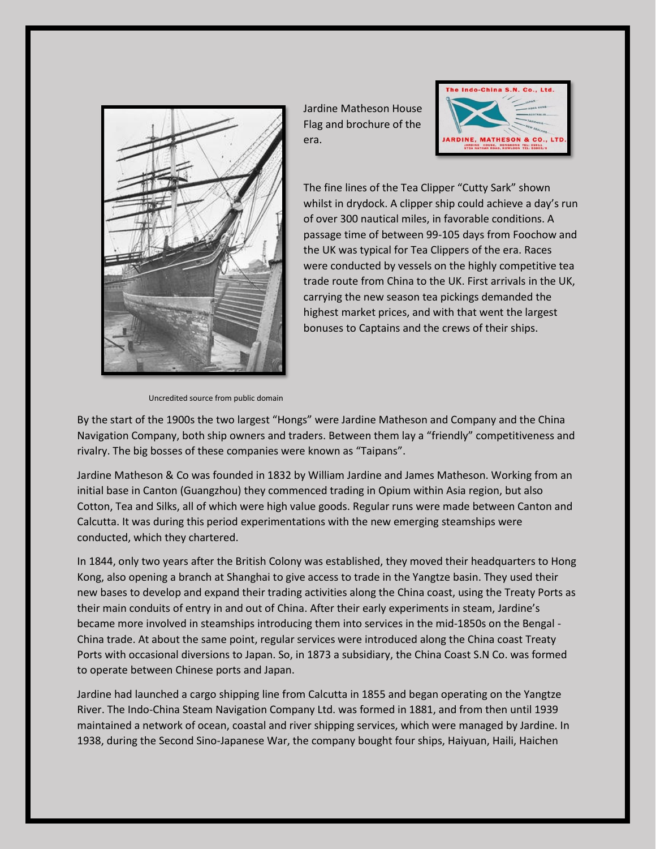

Jardine Matheson House Flag and brochure of the era.



The fine lines of the Tea Clipper "Cutty Sark" shown whilst in drydock. A clipper ship could achieve a day's run of over 300 nautical miles, in favorable conditions. A passage time of between 99-105 days from Foochow and the UK was typical for Tea Clippers of the era. Races were conducted by vessels on the highly competitive tea trade route from China to the UK. First arrivals in the UK, carrying the new season tea pickings demanded the highest market prices, and with that went the largest bonuses to Captains and the crews of their ships.

By the start of the 1900s the two largest "Hongs" were Jardine Matheson and Company and the China Navigation Company, both ship owners and traders. Between them lay a "friendly" competitiveness and rivalry. The big bosses of these companies were known as "Taipans".

Jardine Matheson & Co was founded in 1832 by William Jardine and James Matheson. Working from an initial base in Canton (Guangzhou) they commenced trading in Opium within Asia region, but also Cotton, Tea and Silks, all of which were high value goods. Regular runs were made between Canton and Calcutta. It was during this period experimentations with the new emerging steamships were conducted, which they chartered.

In 1844, only two years after the British Colony was established, they moved their headquarters to Hong Kong, also opening a branch at Shanghai to give access to trade in the Yangtze basin. They used their new bases to develop and expand their trading activities along the China coast, using the Treaty Ports as their main conduits of entry in and out of China. After their early experiments in steam, Jardine's became more involved in steamships introducing them into services in the mid-1850s on the Bengal - China trade. At about the same point, regular services were introduced along the China coast Treaty Ports with occasional diversions to Japan. So, in 1873 a subsidiary, the China Coast S.N Co. was formed to operate between Chinese ports and Japan.

Jardine had launched a cargo shipping line from Calcutta in 1855 and began operating on the Yangtze River. The Indo-China Steam Navigation Company Ltd. was formed in 1881, and from then until 1939 maintained a network of ocean, coastal and river shipping services, which were managed by Jardine. In 1938, during the Second Sino-Japanese War, the company bought four ships, Haiyuan, Haili, Haichen

Uncredited source from public domain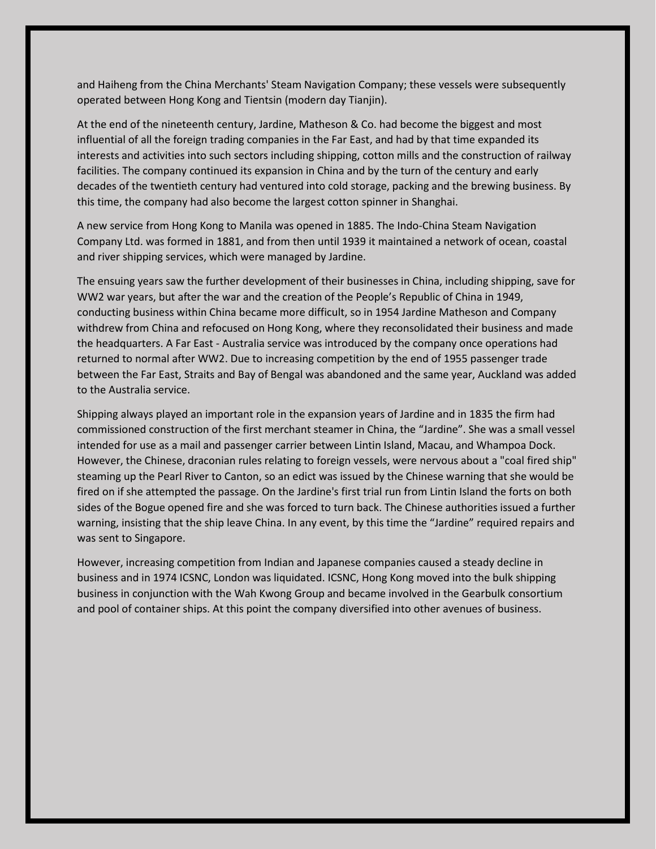and Haiheng from the China Merchants' Steam Navigation Company; these vessels were subsequently operated between Hong Kong and Tientsin (modern day Tianjin).

At the end of the nineteenth century, Jardine, Matheson & Co. had become the biggest and most influential of all the foreign trading companies in the Far East, and had by that time expanded its interests and activities into such sectors including shipping, cotton mills and the construction of railway facilities. The company continued its expansion in China and by the turn of the century and early decades of the twentieth century had ventured into cold storage, packing and the brewing business. By this time, the company had also become the largest cotton spinner in Shanghai.

A new service from Hong Kong to Manila was opened in 1885. The Indo-China Steam Navigation Company Ltd. was formed in 1881, and from then until 1939 it maintained a network of ocean, coastal and river shipping services, which were managed by Jardine.

The ensuing years saw the further development of their businesses in China, including shipping, save for WW2 war years, but after the war and the creation of the People's Republic of China in 1949, conducting business within China became more difficult, so in 1954 Jardine Matheson and Company withdrew from China and refocused on Hong Kong, where they reconsolidated their business and made the headquarters. A Far East - Australia service was introduced by the company once operations had returned to normal after WW2. Due to increasing competition by the end of 1955 passenger trade between the Far East, Straits and Bay of Bengal was abandoned and the same year, Auckland was added to the Australia service.

Shipping always played an important role in the expansion years of Jardine and in 1835 the firm had commissioned construction of the first merchant steamer in China, the "Jardine". She was a small vessel intended for use as a mail and passenger carrier between Lintin Island, Macau, and Whampoa Dock. However, the Chinese, draconian rules relating to foreign vessels, were nervous about a "coal fired ship" steaming up the Pearl River to Canton, so an edict was issued by the Chinese warning that she would be fired on if she attempted the passage. On the Jardine's first trial run from Lintin Island the forts on both sides of the Bogue opened fire and she was forced to turn back. The Chinese authorities issued a further warning, insisting that the ship leave China. In any event, by this time the "Jardine" required repairs and was sent to Singapore.

However, increasing competition from Indian and Japanese companies caused a steady decline in business and in 1974 ICSNC, London was liquidated. ICSNC, Hong Kong moved into the bulk shipping business in conjunction with the Wah Kwong Group and became involved in the Gearbulk consortium and pool of container ships. At this point the company diversified into other avenues of business.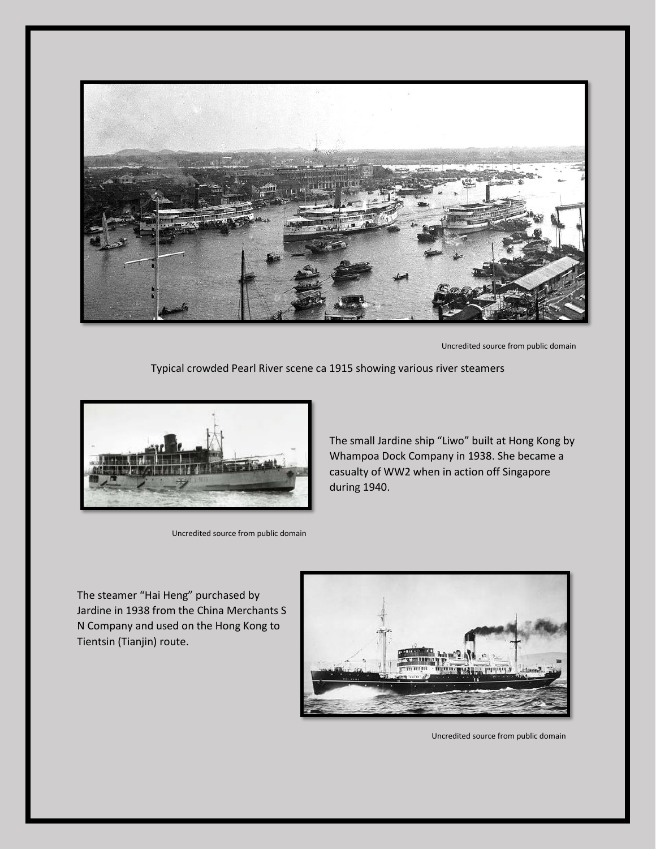

Uncredited source from public domain

Typical crowded Pearl River scene ca 1915 showing various river steamers



Uncredited source from public domain

The small Jardine ship "Liwo" built at Hong Kong by Whampoa Dock Company in 1938. She became a casualty of WW2 when in action off Singapore during 1940.

The steamer "Hai Heng" purchased by Jardine in 1938 from the China Merchants S N Company and used on the Hong Kong to Tientsin (Tianjin) route.



Uncredited source from public domain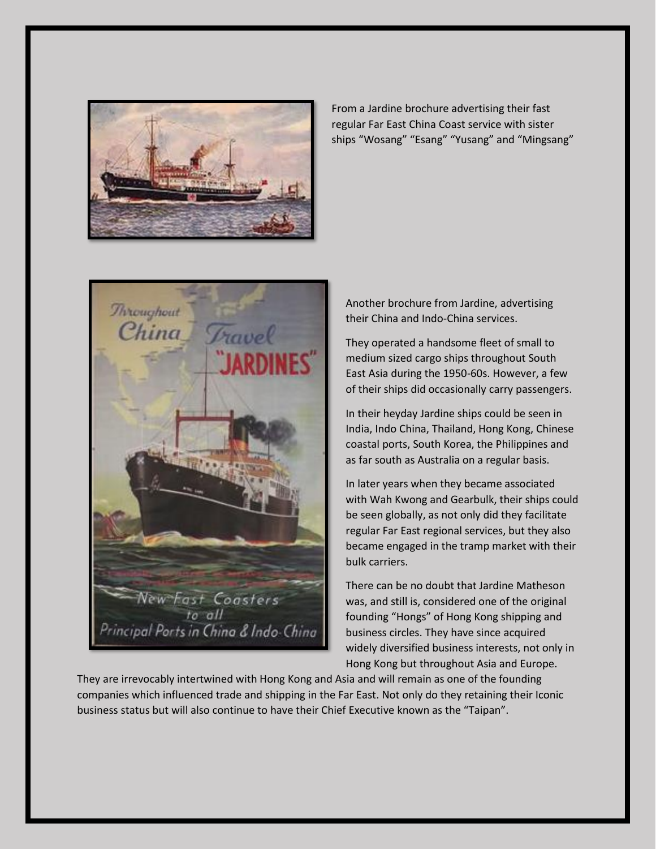

From a Jardine brochure advertising their fast regular Far East China Coast service with sister ships "Wosang" "Esang" "Yusang" and "Mingsang"



Another brochure from Jardine, advertising their China and Indo-China services.

They operated a handsome fleet of small to medium sized cargo ships throughout South East Asia during the 1950-60s. However, a few of their ships did occasionally carry passengers.

In their heyday Jardine ships could be seen in India, Indo China, Thailand, Hong Kong, Chinese coastal ports, South Korea, the Philippines and as far south as Australia on a regular basis.

In later years when they became associated with Wah Kwong and Gearbulk, their ships could be seen globally, as not only did they facilitate regular Far East regional services, but they also became engaged in the tramp market with their bulk carriers.

There can be no doubt that Jardine Matheson was, and still is, considered one of the original founding "Hongs" of Hong Kong shipping and business circles. They have since acquired widely diversified business interests, not only in Hong Kong but throughout Asia and Europe.

They are irrevocably intertwined with Hong Kong and Asia and will remain as one of the founding companies which influenced trade and shipping in the Far East. Not only do they retaining their Iconic business status but will also continue to have their Chief Executive known as the "Taipan".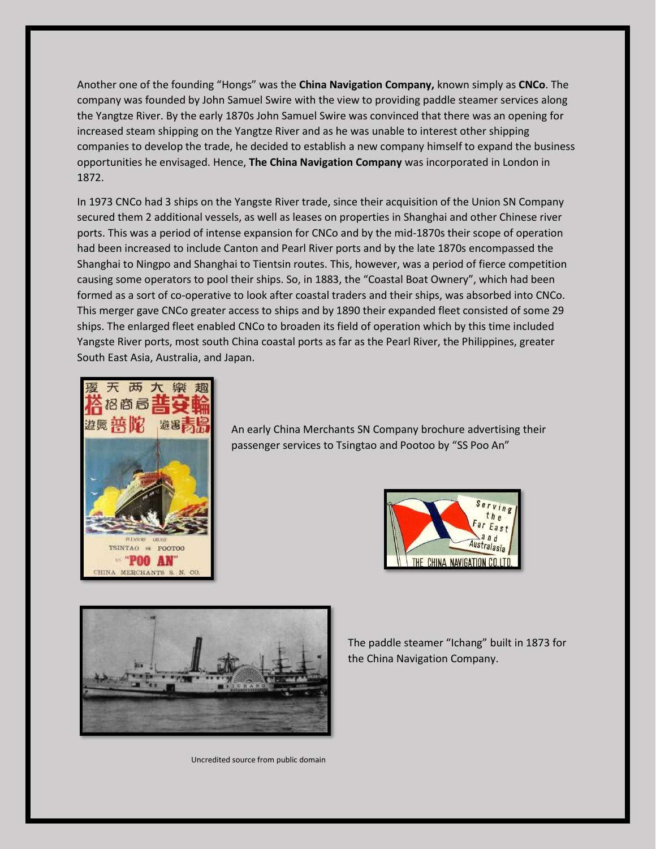Another one of the founding "Hongs" was the **China Navigation Company,** known simply as **CNCo**. The company was founded by John Samuel Swire with the view to providing paddle steamer services along the Yangtze River. By the early 1870s John Samuel Swire was convinced that there was an opening for increased steam shipping on the Yangtze River and as he was unable to interest other shipping companies to develop the trade, he decided to establish a new company himself to expand the business opportunities he envisaged. Hence, **The China Navigation Company** was incorporated in London in 1872.

In 1973 CNCo had 3 ships on the Yangste River trade, since their acquisition of the Union SN Company secured them 2 additional vessels, as well as leases on properties in Shanghai and other Chinese river ports. This was a period of intense expansion for CNCo and by the mid-1870s their scope of operation had been increased to include Canton and Pearl River ports and by the late 1870s encompassed the Shanghai to Ningpo and Shanghai to Tientsin routes. This, however, was a period of fierce competition causing some operators to pool their ships. So, in 1883, the "Coastal Boat Ownery", which had been formed as a sort of co-operative to look after coastal traders and their ships, was absorbed into CNCo. This merger gave CNCo greater access to ships and by 1890 their expanded fleet consisted of some 29 ships. The enlarged fleet enabled CNCo to broaden its field of operation which by this time included Yangste River ports, most south China coastal ports as far as the Pearl River, the Philippines, greater South East Asia, Australia, and Japan.



An early China Merchants SN Company brochure advertising their passenger services to Tsingtao and Pootoo by "SS Poo An"





The paddle steamer "Ichang" built in 1873 for the China Navigation Company.

Uncredited source from public domain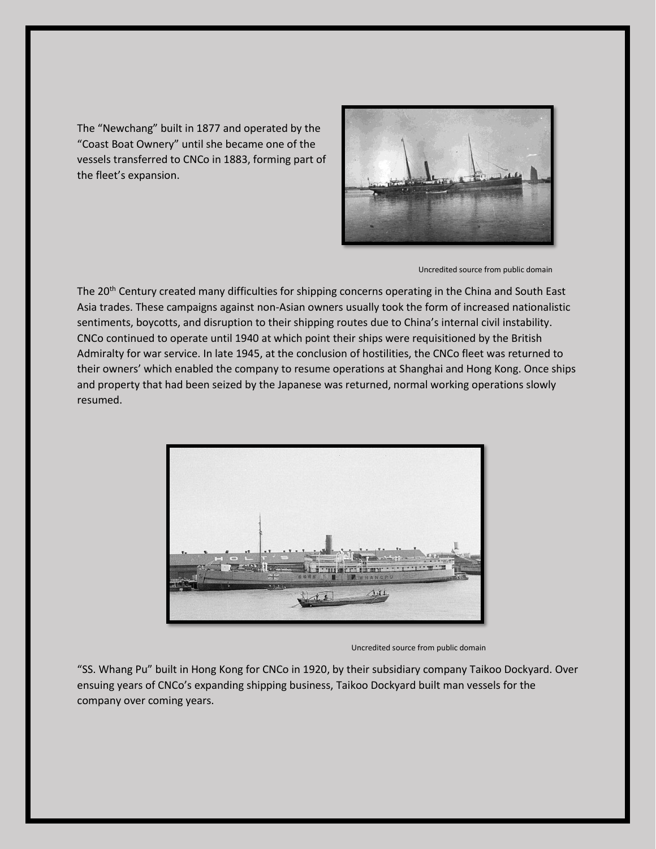The "Newchang" built in 1877 and operated by the "Coast Boat Ownery" until she became one of the vessels transferred to CNCo in 1883, forming part of the fleet's expansion.



Uncredited source from public domain

The 20<sup>th</sup> Century created many difficulties for shipping concerns operating in the China and South East Asia trades. These campaigns against non-Asian owners usually took the form of increased nationalistic sentiments, boycotts, and disruption to their shipping routes due to China's internal civil instability. CNCo continued to operate until 1940 at which point their ships were requisitioned by the British Admiralty for war service. In late 1945, at the conclusion of hostilities, the CNCo fleet was returned to their owners' which enabled the company to resume operations at Shanghai and Hong Kong. Once ships and property that had been seized by the Japanese was returned, normal working operations slowly resumed.



Uncredited source from public domain

"SS. Whang Pu" built in Hong Kong for CNCo in 1920, by their subsidiary company Taikoo Dockyard. Over ensuing years of CNCo's expanding shipping business, Taikoo Dockyard built man vessels for the company over coming years.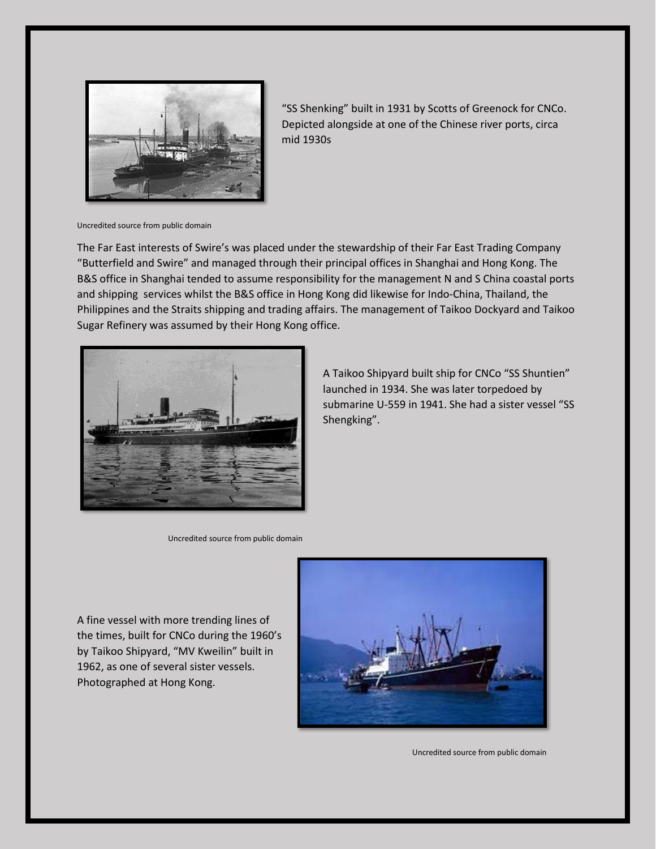

"SS Shenking" built in 1931 by Scotts of Greenock for CNCo. Depicted alongside at one of the Chinese river ports, circa mid 1930s

Uncredited source from public domain

The Far East interests of Swire's was placed under the stewardship of their Far East Trading Company "Butterfield and Swire" and managed through their principal offices in Shanghai and Hong Kong. The B&S office in Shanghai tended to assume responsibility for the management N and S China coastal ports and shipping services whilst the B&S office in Hong Kong did likewise for Indo-China, Thailand, the Philippines and the Straits shipping and trading affairs. The management of Taikoo Dockyard and Taikoo Sugar Refinery was assumed by their Hong Kong office.



A Taikoo Shipyard built ship for CNCo "SS Shuntien" launched in 1934. She was later torpedoed by submarine U-559 in 1941. She had a sister vessel "SS Shengking".

Uncredited source from public domain

A fine vessel with more trending lines of the times, built for CNCo during the 1960's by Taikoo Shipyard, "MV Kweilin" built in 1962, as one of several sister vessels. Photographed at Hong Kong.



Uncredited source from public domain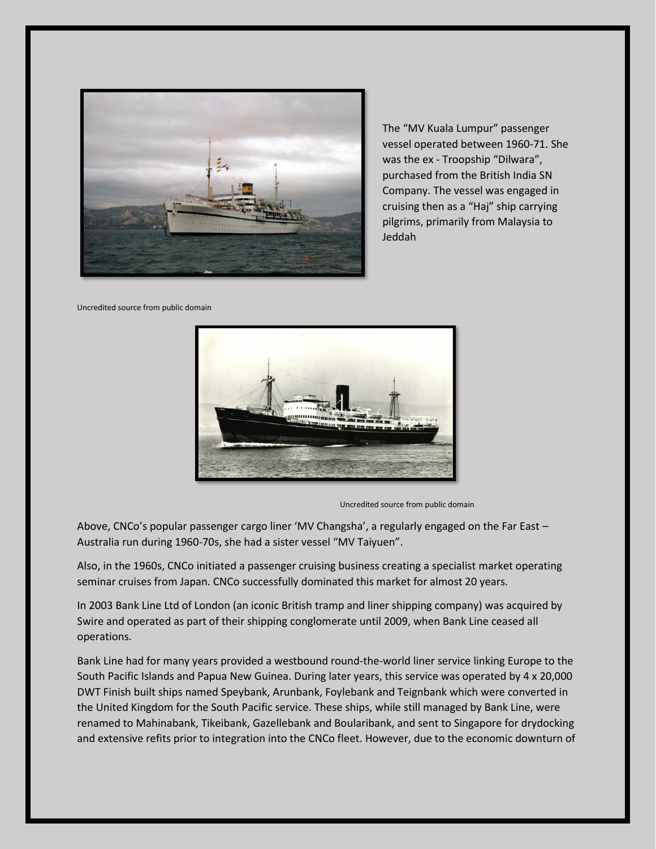

The "MV Kuala Lumpur" passenger vessel operated between 1960-71. She was the ex - Troopship "Dilwara", purchased from the British India SN Company. The vessel was engaged in cruising then as a "Haj" ship carrying pilgrims, primarily from Malaysia to Jeddah

Uncredited source from public domain



Uncredited source from public domain

Above, CNCo's popular passenger cargo liner 'MV Changsha', a regularly engaged on the Far East – Australia run during 1960-70s, she had a sister vessel "MV Taiyuen".

Also, in the 1960s, CNCo initiated a passenger cruising business creating a specialist market operating seminar cruises from Japan. CNCo successfully dominated this market for almost 20 years.

In 2003 Bank Line Ltd of London (an iconic British tramp and liner shipping company) was acquired by Swire and operated as part of their shipping conglomerate until 2009, when Bank Line ceased all operations.

Bank Line had for many years provided a westbound round-the-world liner service linking Europe to the South Pacific Islands and Papua New Guinea. During later years, this service was operated by 4 x 20,000 DWT Finish built ships named Speybank, Arunbank, Foylebank and Teignbank which were converted in the United Kingdom for the South Pacific service. These ships, while still managed by Bank Line, were renamed to Mahinabank, Tikeibank, Gazellebank and Boularibank, and sent to Singapore for drydocking and extensive refits prior to integration into the CNCo fleet. However, due to the economic downturn of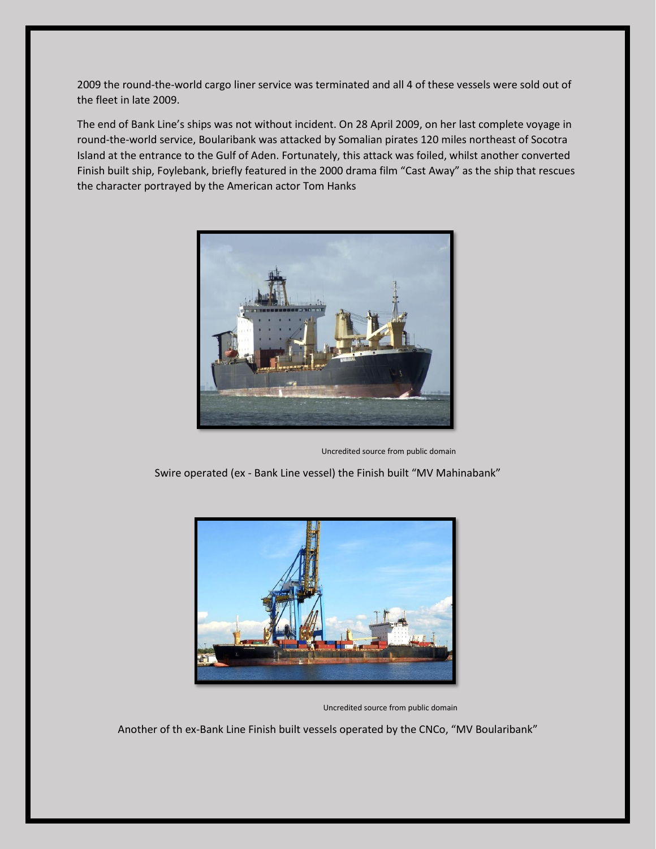2009 the round-the-world cargo liner service was terminated and all 4 of these vessels were sold out of the fleet in late 2009.

The end of Bank Line's ships was not without incident. On 28 April 2009, on her last complete voyage in round-the-world service, Boularibank was attacked by Somalian pirates 120 miles northeast of Socotra Island at the entrance to the Gulf of Aden. Fortunately, this attack was foiled, whilst another converted Finish built ship, Foylebank, briefly featured in the 2000 drama film "Cast Away" as the ship that rescues the character portrayed by the American actor Tom Hanks



Uncredited source from public domain

Swire operated (ex - Bank Line vessel) the Finish built "MV Mahinabank"



Uncredited source from public domain

Another of th ex-Bank Line Finish built vessels operated by the CNCo, "MV Boularibank"